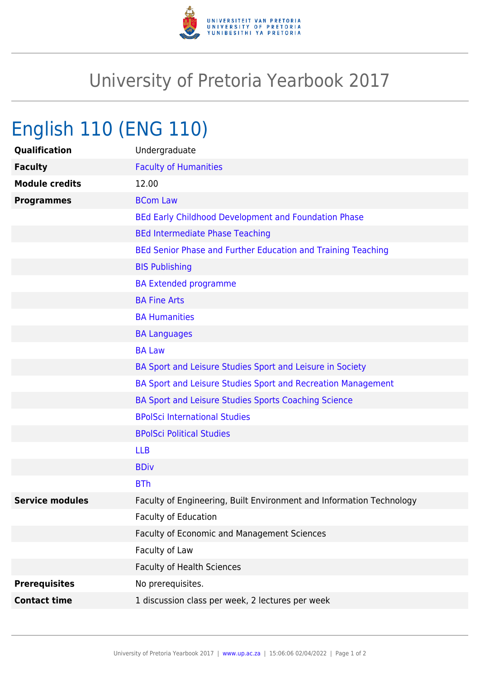

## University of Pretoria Yearbook 2017

## English 110 (ENG 110)

| Qualification          | Undergraduate                                                        |
|------------------------|----------------------------------------------------------------------|
| <b>Faculty</b>         | <b>Faculty of Humanities</b>                                         |
| <b>Module credits</b>  | 12.00                                                                |
| <b>Programmes</b>      | <b>BCom Law</b>                                                      |
|                        | BEd Early Childhood Development and Foundation Phase                 |
|                        | <b>BEd Intermediate Phase Teaching</b>                               |
|                        | BEd Senior Phase and Further Education and Training Teaching         |
|                        | <b>BIS Publishing</b>                                                |
|                        | <b>BA Extended programme</b>                                         |
|                        | <b>BA Fine Arts</b>                                                  |
|                        | <b>BA Humanities</b>                                                 |
|                        | <b>BA Languages</b>                                                  |
|                        | <b>BA Law</b>                                                        |
|                        | BA Sport and Leisure Studies Sport and Leisure in Society            |
|                        | BA Sport and Leisure Studies Sport and Recreation Management         |
|                        | BA Sport and Leisure Studies Sports Coaching Science                 |
|                        | <b>BPolSci International Studies</b>                                 |
|                        | <b>BPolSci Political Studies</b>                                     |
|                        | <b>LLB</b>                                                           |
|                        | <b>BDiv</b>                                                          |
|                        | <b>BTh</b>                                                           |
| <b>Service modules</b> | Faculty of Engineering, Built Environment and Information Technology |
|                        | <b>Faculty of Education</b>                                          |
|                        | Faculty of Economic and Management Sciences                          |
|                        | Faculty of Law                                                       |
|                        | <b>Faculty of Health Sciences</b>                                    |
| <b>Prerequisites</b>   | No prerequisites.                                                    |
| <b>Contact time</b>    | 1 discussion class per week, 2 lectures per week                     |
|                        |                                                                      |